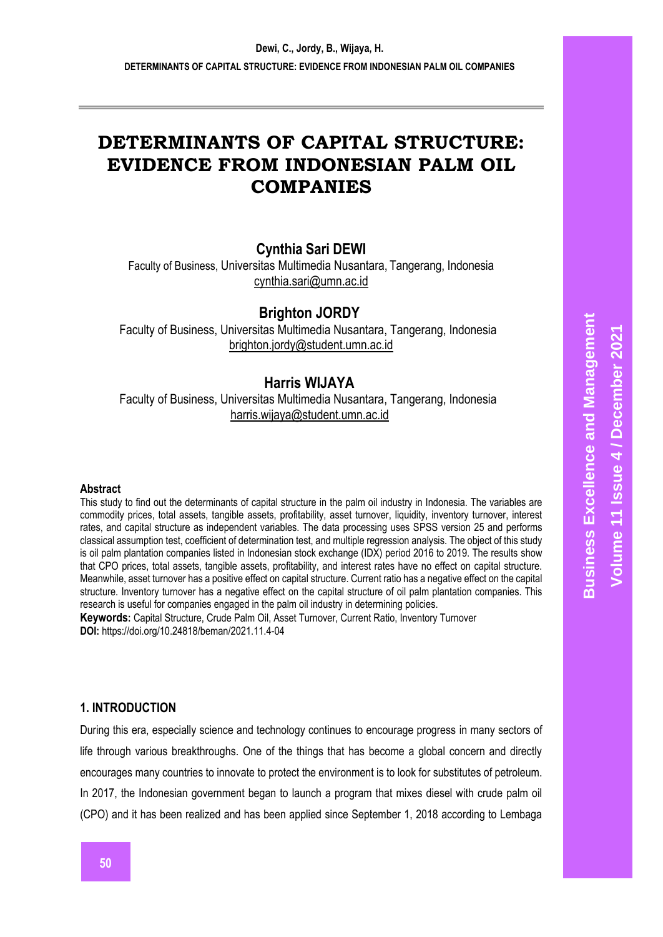# **DETERMINANTS OF CAPITAL STRUCTURE: EVIDENCE FROM INDONESIAN PALM OIL COMPANIES**

# **Cynthia Sari DEWI**

Faculty of Business, Universitas Multimedia Nusantara, Tangerang, Indonesia [cynthia.sari@umn.ac.id](mailto:cynthia.sari@umn.ac.id)

# **Brighton JORDY**

Faculty of Business, Universitas Multimedia Nusantara, Tangerang, Indonesia [brighton.jordy@student.umn.ac.id](mailto:brighton.jordy@student.umn.ac.id)

# **Harris WIJAYA**

Faculty of Business, Universitas Multimedia Nusantara, Tangerang, Indonesia [harris.wijaya@student.umn.ac.id](mailto:harris.wijaya@student.umn.ac.id)

#### **Abstract**

This study to find out the determinants of capital structure in the palm oil industry in Indonesia. The variables are commodity prices, total assets, tangible assets, profitability, asset turnover, liquidity, inventory turnover, interest rates, and capital structure as independent variables. The data processing uses SPSS version 25 and performs classical assumption test, coefficient of determination test, and multiple regression analysis. The object of this study is oil palm plantation companies listed in Indonesian stock exchange (IDX) period 2016 to 2019. The results show that CPO prices, total assets, tangible assets, profitability, and interest rates have no effect on capital structure. Meanwhile, asset turnover has a positive effect on capital structure. Current ratio has a negative effect on the capital structure. Inventory turnover has a negative effect on the capital structure of oil palm plantation companies. This research is useful for companies engaged in the palm oil industry in determining policies.

**Keywords:** Capital Structure, Crude Palm Oil, Asset Turnover, Current Ratio, Inventory Turnover **DOI:** https://doi.org/10.24818/beman/2021.11.4-04

## **1. INTRODUCTION**

During this era, especially science and technology continues to encourage progress in many sectors of life through various breakthroughs. One of the things that has become a global concern and directly encourages many countries to innovate to protect the environment is to look for substitutes of petroleum. In 2017, the Indonesian government began to launch a program that mixes diesel with crude palm oil (CPO) and it has been realized and has been applied since September 1, 2018 according to Lembaga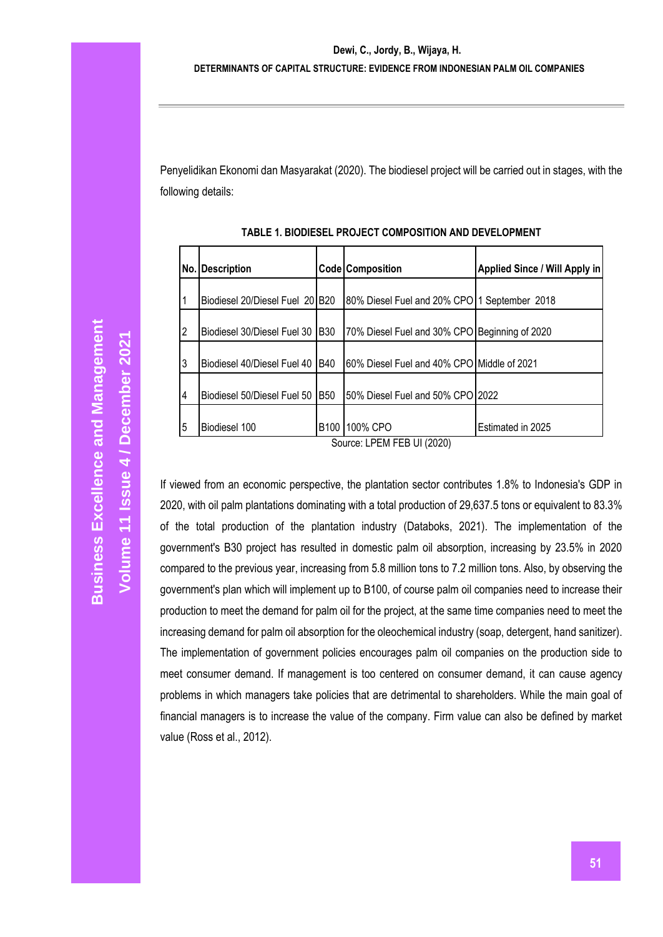Penyelidikan Ekonomi dan Masyarakat (2020). The biodiesel project will be carried out in stages, with the following details:

| No.l           | <b>Description</b>              |                  | Code Composition                              | Applied Since / Will Apply in |
|----------------|---------------------------------|------------------|-----------------------------------------------|-------------------------------|
| 1              | Biodiesel 20/Diesel Fuel 20 B20 |                  | 80% Diesel Fuel and 20% CPO 1 September 2018  |                               |
| 2              | Biodiesel 30/Diesel Fuel 30     | <b>B30</b>       | 70% Diesel Fuel and 30% CPO Beginning of 2020 |                               |
| 3              | Biodiesel 40/Diesel Fuel 40     | <b>B40</b>       | 60% Diesel Fuel and 40% CPO Middle of 2021    |                               |
| $\overline{4}$ | Biodiesel 50/Diesel Fuel 50     | <b>B50</b>       | 50% Diesel Fuel and 50% CPO 2022              |                               |
| 5              | Biodiesel 100                   | B <sub>100</sub> | 100% CPO<br>1.7711.7771.7833                  | Estimated in 2025             |

**TABLE 1. BIODIESEL PROJECT COMPOSITION AND DEVELOPMENT**

Source: LPEM FEB UI (2020)

If viewed from an economic perspective, the plantation sector contributes 1.8% to Indonesia's GDP in 2020, with oil palm plantations dominating with a total production of 29,637.5 tons or equivalent to 83.3% of the total production of the plantation industry (Databoks, 2021). The implementation of the government's B30 project has resulted in domestic palm oil absorption, increasing by 23.5% in 2020 compared to the previous year, increasing from 5.8 million tons to 7.2 million tons. Also, by observing the government's plan which will implement up to B100, of course palm oil companies need to increase their production to meet the demand for palm oil for the project, at the same time companies need to meet the increasing demand for palm oil absorption for the oleochemical industry (soap, detergent, hand sanitizer). The implementation of government policies encourages palm oil companies on the production side to meet consumer demand. If management is too centered on consumer demand, it can cause agency problems in which managers take policies that are detrimental to shareholders. While the main goal of financial managers is to increase the value of the company. Firm value can also be defined by market value (Ross et al., 2012).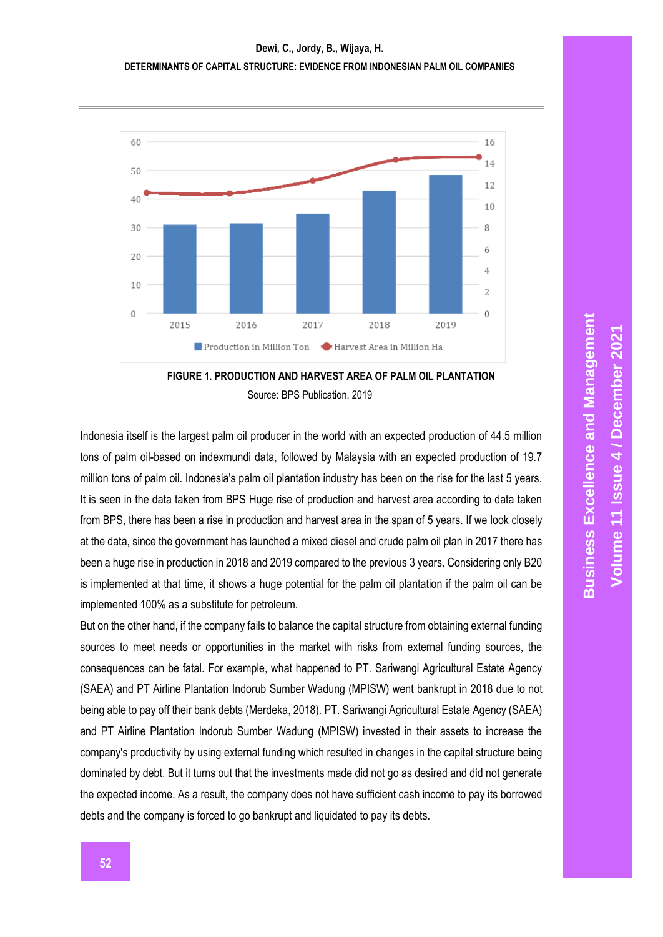



Indonesia itself is the largest palm oil producer in the world with an expected production of 44.5 million tons of palm oil-based on indexmundi data, followed by Malaysia with an expected production of 19.7 million tons of palm oil. Indonesia's palm oil plantation industry has been on the rise for the last 5 years. It is seen in the data taken from BPS Huge rise of production and harvest area according to data taken from BPS, there has been a rise in production and harvest area in the span of 5 years. If we look closely at the data, since the government has launched a mixed diesel and crude palm oil plan in 2017 there has been a huge rise in production in 2018 and 2019 compared to the previous 3 years. Considering only B20 is implemented at that time, it shows a huge potential for the palm oil plantation if the palm oil can be implemented 100% as a substitute for petroleum.

But on the other hand, if the company fails to balance the capital structure from obtaining external funding sources to meet needs or opportunities in the market with risks from external funding sources, the consequences can be fatal. For example, what happened to PT. Sariwangi Agricultural Estate Agency (SAEA) and PT Airline Plantation Indorub Sumber Wadung (MPISW) went bankrupt in 2018 due to not being able to pay off their bank debts (Merdeka, 2018). PT. Sariwangi Agricultural Estate Agency (SAEA) and PT Airline Plantation Indorub Sumber Wadung (MPISW) invested in their assets to increase the company's productivity by using external funding which resulted in changes in the capital structure being dominated by debt. But it turns out that the investments made did not go as desired and did not generate the expected income. As a result, the company does not have sufficient cash income to pay its borrowed debts and the company is forced to go bankrupt and liquidated to pay its debts.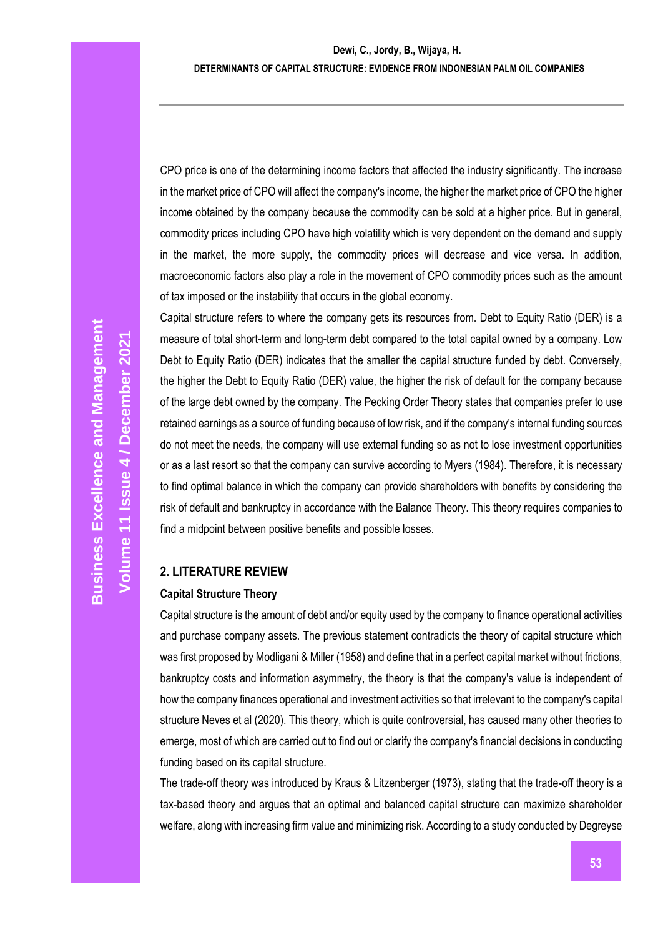CPO price is one of the determining income factors that affected the industry significantly. The increase in the market price of CPO will affect the company's income, the higher the market price of CPO the higher income obtained by the company because the commodity can be sold at a higher price. But in general, commodity prices including CPO have high volatility which is very dependent on the demand and supply in the market, the more supply, the commodity prices will decrease and vice versa. In addition, macroeconomic factors also play a role in the movement of CPO commodity prices such as the amount of tax imposed or the instability that occurs in the global economy.

Capital structure refers to where the company gets its resources from. Debt to Equity Ratio (DER) is a measure of total short-term and long-term debt compared to the total capital owned by a company. Low Debt to Equity Ratio (DER) indicates that the smaller the capital structure funded by debt. Conversely, the higher the Debt to Equity Ratio (DER) value, the higher the risk of default for the company because of the large debt owned by the company. The Pecking Order Theory states that companies prefer to use retained earnings as a source of funding because of low risk, and if the company's internal funding sources do not meet the needs, the company will use external funding so as not to lose investment opportunities or as a last resort so that the company can survive according to Myers (1984). Therefore, it is necessary to find optimal balance in which the company can provide shareholders with benefits by considering the risk of default and bankruptcy in accordance with the Balance Theory. This theory requires companies to find a midpoint between positive benefits and possible losses.

# **2. LITERATURE REVIEW**

## **Capital Structure Theory**

Capital structure is the amount of debt and/or equity used by the company to finance operational activities and purchase company assets. The previous statement contradicts the theory of capital structure which was first proposed by Modligani & Miller (1958) and define that in a perfect capital market without frictions, bankruptcy costs and information asymmetry, the theory is that the company's value is independent of how the company finances operational and investment activities so that irrelevant to the company's capital structure Neves et al (2020). This theory, which is quite controversial, has caused many other theories to emerge, most of which are carried out to find out or clarify the company's financial decisions in conducting funding based on its capital structure.

The trade-off theory was introduced by Kraus & Litzenberger (1973), stating that the trade-off theory is a tax-based theory and argues that an optimal and balanced capital structure can maximize shareholder welfare, along with increasing firm value and minimizing risk. According to a study conducted by Degreyse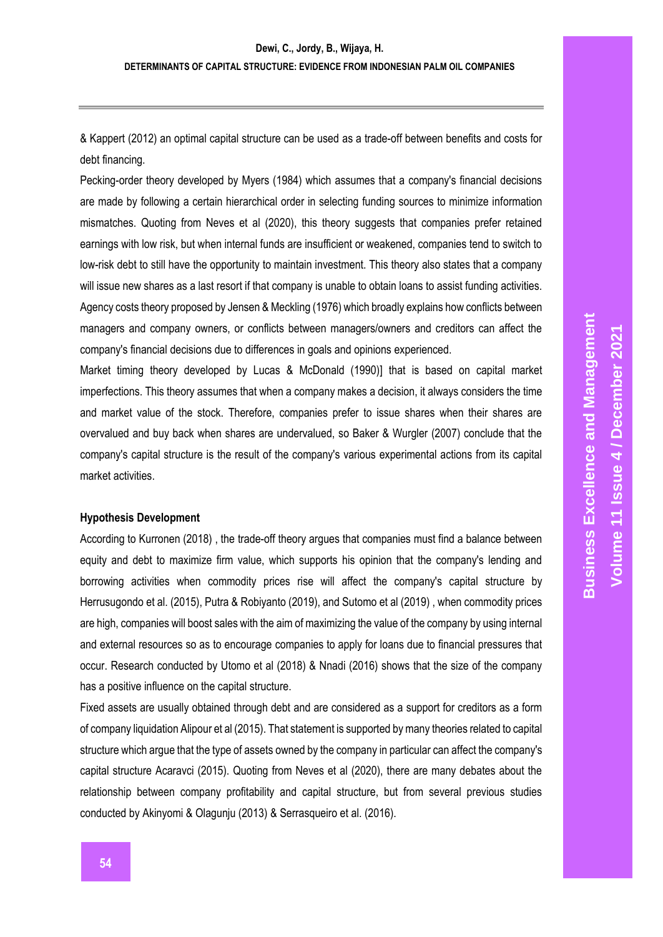& Kappert (2012) an optimal capital structure can be used as a trade-off between benefits and costs for debt financing.

Pecking-order theory developed by Myers (1984) which assumes that a company's financial decisions are made by following a certain hierarchical order in selecting funding sources to minimize information mismatches. Quoting from Neves et al (2020), this theory suggests that companies prefer retained earnings with low risk, but when internal funds are insufficient or weakened, companies tend to switch to low-risk debt to still have the opportunity to maintain investment. This theory also states that a company will issue new shares as a last resort if that company is unable to obtain loans to assist funding activities. Agency costs theory proposed by Jensen & Meckling (1976) which broadly explains how conflicts between managers and company owners, or conflicts between managers/owners and creditors can affect the company's financial decisions due to differences in goals and opinions experienced.

Market timing theory developed by Lucas & McDonald (1990)] that is based on capital market imperfections. This theory assumes that when a company makes a decision, it always considers the time and market value of the stock. Therefore, companies prefer to issue shares when their shares are overvalued and buy back when shares are undervalued, so Baker & Wurgler (2007) conclude that the company's capital structure is the result of the company's various experimental actions from its capital market activities.

#### **Hypothesis Development**

According to Kurronen (2018) , the trade-off theory argues that companies must find a balance between equity and debt to maximize firm value, which supports his opinion that the company's lending and borrowing activities when commodity prices rise will affect the company's capital structure by Herrusugondo et al. (2015), Putra & Robiyanto (2019), and Sutomo et al (2019) , when commodity prices are high, companies will boost sales with the aim of maximizing the value of the company by using internal and external resources so as to encourage companies to apply for loans due to financial pressures that occur. Research conducted by Utomo et al (2018) & Nnadi (2016) shows that the size of the company has a positive influence on the capital structure.

Fixed assets are usually obtained through debt and are considered as a support for creditors as a form of company liquidation Alipour et al (2015). That statement is supported by many theories related to capital structure which argue that the type of assets owned by the company in particular can affect the company's capital structure Acaravci (2015). Quoting from Neves et al (2020), there are many debates about the relationship between company profitability and capital structure, but from several previous studies conducted by Akinyomi & Olagunju (2013) & Serrasqueiro et al. (2016).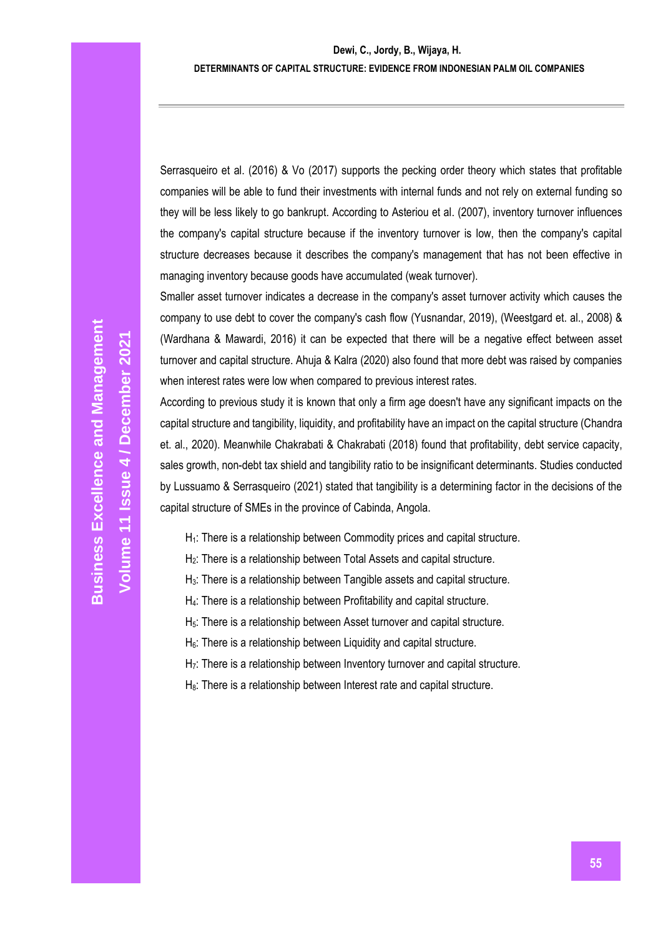Serrasqueiro et al. (2016) & Vo (2017) supports the pecking order theory which states that profitable companies will be able to fund their investments with internal funds and not rely on external funding so they will be less likely to go bankrupt. According to Asteriou et al. (2007), inventory turnover influences the company's capital structure because if the inventory turnover is low, then the company's capital structure decreases because it describes the company's management that has not been effective in managing inventory because goods have accumulated (weak turnover).

Smaller asset turnover indicates a decrease in the company's asset turnover activity which causes the company to use debt to cover the company's cash flow (Yusnandar, 2019), (Weestgard et. al., 2008) & (Wardhana & Mawardi, 2016) it can be expected that there will be a negative effect between asset turnover and capital structure. Ahuja & Kalra (2020) also found that more debt was raised by companies when interest rates were low when compared to previous interest rates.

According to previous study it is known that only a firm age doesn't have any significant impacts on the capital structure and tangibility, liquidity, and profitability have an impact on the capital structure (Chandra et. al., 2020). Meanwhile Chakrabati & Chakrabati (2018) found that profitability, debt service capacity, sales growth, non-debt tax shield and tangibility ratio to be insignificant determinants. Studies conducted by Lussuamo & Serrasqueiro (2021) stated that tangibility is a determining factor in the decisions of the capital structure of SMEs in the province of Cabinda, Angola.

- H<sub>1</sub>: There is a relationship between Commodity prices and capital structure.
- H2: There is a relationship between Total Assets and capital structure.
- $H<sub>3</sub>$ : There is a relationship between Tangible assets and capital structure.
- H4: There is a relationship between Profitability and capital structure.
- $H<sub>5</sub>$ : There is a relationship between Asset turnover and capital structure.
- H<sub>6</sub>: There is a relationship between Liquidity and capital structure.
- H<sub>7</sub>: There is a relationship between Inventory turnover and capital structure.
- H<sub>8</sub>: There is a relationship between Interest rate and capital structure.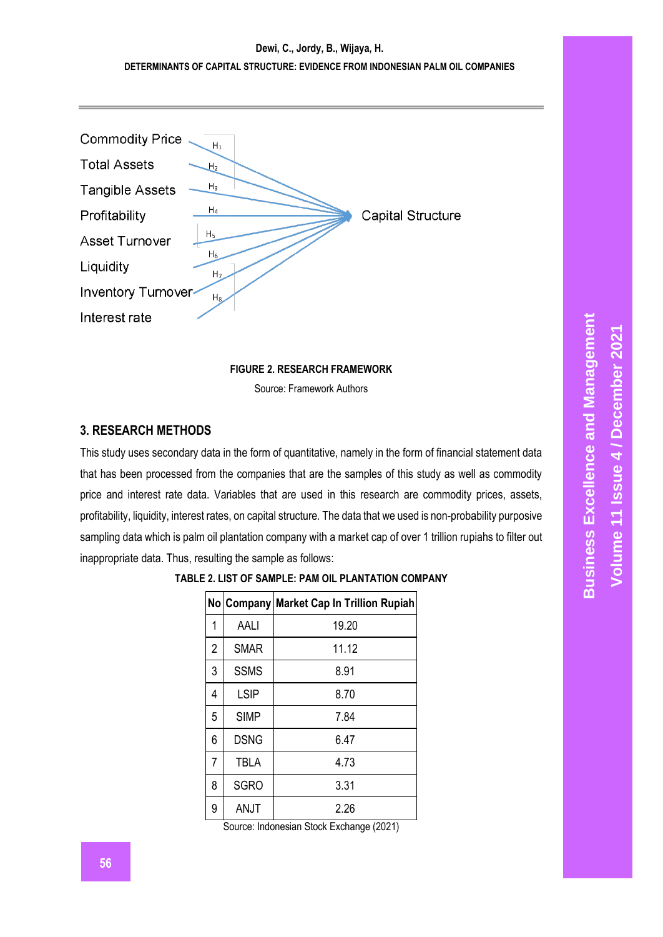# **Dewi, C., Jordy, B., Wijaya, H. DETERMINANTS OF CAPITAL STRUCTURE: EVIDENCE FROM INDONESIAN PALM OIL COMPANIES**



**FIGURE 2. RESEARCH FRAMEWORK** Source: Framework Authors

## **3. RESEARCH METHODS**

This study uses secondary data in the form of quantitative, namely in the form of financial statement data that has been processed from the companies that are the samples of this study as well as commodity price and interest rate data. Variables that are used in this research are commodity prices, assets, profitability, liquidity, interest rates, on capital structure*.* The data that we used is non-probability purposive sampling data which is palm oil plantation company with a market cap of over 1 trillion rupiahs to filter out inappropriate data. Thus, resulting the sample as follows:

|   |             | No Company Market Cap In Trillion Rupiah |
|---|-------------|------------------------------------------|
| 1 | AALI        | 19.20                                    |
| 2 | <b>SMAR</b> | 11.12                                    |
| 3 | <b>SSMS</b> | 8.91                                     |
| 4 | <b>LSIP</b> | 8.70                                     |
| 5 | <b>SIMP</b> | 7.84                                     |
| 6 | <b>DSNG</b> | 6.47                                     |
| 7 | TBLA        | 4.73                                     |
| 8 | <b>SGRO</b> | 3.31                                     |
| 9 | ANJT        | 2.26                                     |

| TABLE 2. LIST OF SAMPLE: PAM OIL PLANTATION COMPANY |  |
|-----------------------------------------------------|--|
|                                                     |  |

Source: Indonesian Stock Exchange (2021)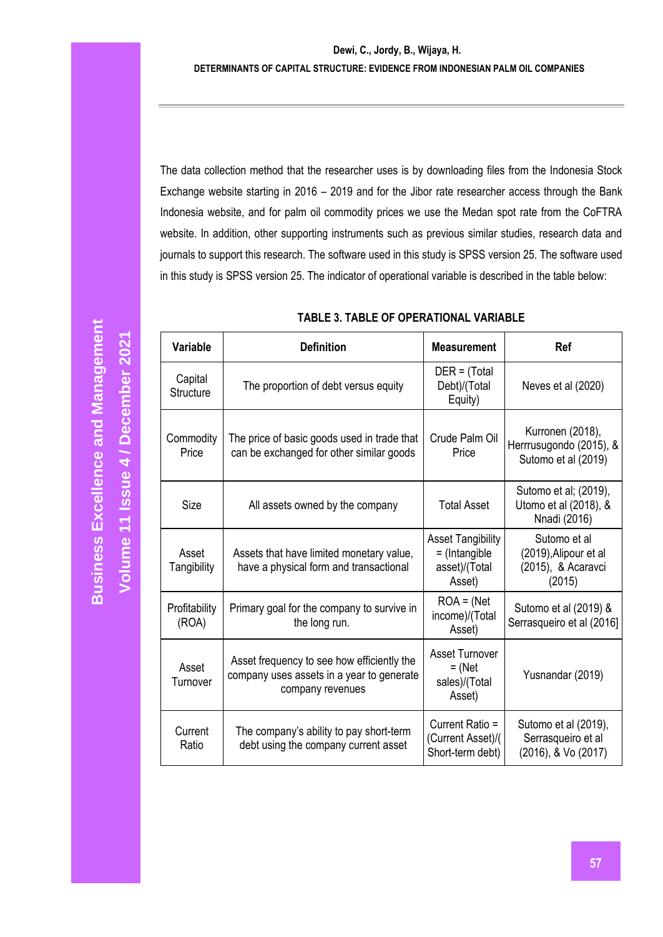#### **Dewi, C., Jordy, B., Wijaya, H. DETERMINANTS OF CAPITAL STRUCTURE: EVIDENCE FROM INDONESIAN PALM OIL COMPANIES**

The data collection method that the researcher uses is by downloading files from the Indonesia Stock Exchange website starting in 2016 – 2019 and for the Jibor rate researcher access through the Bank Indonesia website, and for palm oil commodity prices we use the Medan spot rate from the CoFTRA website. In addition, other supporting instruments such as previous similar studies, research data and journals to support this research. The software used in this study is SPSS version 25. The software used in this study is SPSS version 25. The indicator of operational variable is described in the table below:

| <b>Variable</b>                                                                                     | <b>Definition</b>                                                                                           | <b>Measurement</b>                                                     | Ref                                                                   |
|-----------------------------------------------------------------------------------------------------|-------------------------------------------------------------------------------------------------------------|------------------------------------------------------------------------|-----------------------------------------------------------------------|
| Capital<br><b>Structure</b>                                                                         | The proportion of debt versus equity                                                                        | $DER = (Total)$<br>Debt)/(Total<br>Equity)                             | Neves et al (2020)                                                    |
| Commodity<br>Price                                                                                  | The price of basic goods used in trade that<br>can be exchanged for other similar goods                     | Crude Palm Oil<br>Price                                                | Kurronen (2018),<br>Herrrusugondo (2015), &<br>Sutomo et al (2019)    |
| Size                                                                                                | All assets owned by the company                                                                             | <b>Total Asset</b>                                                     | Sutomo et al; (2019),<br>Utomo et al (2018), &<br>Nnadi (2016)        |
| Asset<br>Tangibility                                                                                | Assets that have limited monetary value,<br>have a physical form and transactional                          | <b>Asset Tangibility</b><br>$=$ (Intangible<br>asset)/(Total<br>Asset) | Sutomo et al<br>(2019), Alipour et al<br>(2015), & Acaravci<br>(2015) |
| Profitability<br>(ROA)                                                                              | Primary goal for the company to survive in<br>the long run.                                                 | $ROA = (Net$<br>income)/(Total<br>Asset)                               | Sutomo et al (2019) &<br>Serrasqueiro et al (2016]                    |
| Asset<br>Turnover                                                                                   | Asset frequency to see how efficiently the<br>company uses assets in a year to generate<br>company revenues | <b>Asset Turnover</b><br>$=$ (Net<br>sales)/(Total<br>Asset)           | Yusnandar (2019)                                                      |
| Current<br>The company's ability to pay short-term<br>debt using the company current asset<br>Ratio |                                                                                                             | Current Ratio =<br>(Current Asset)/(<br>Short-term debt)               | Sutomo et al (2019),<br>Serrasqueiro et al<br>(2016), & Vo (2017)     |

## **TABLE 3. TABLE OF OPERATIONAL VARIABLE**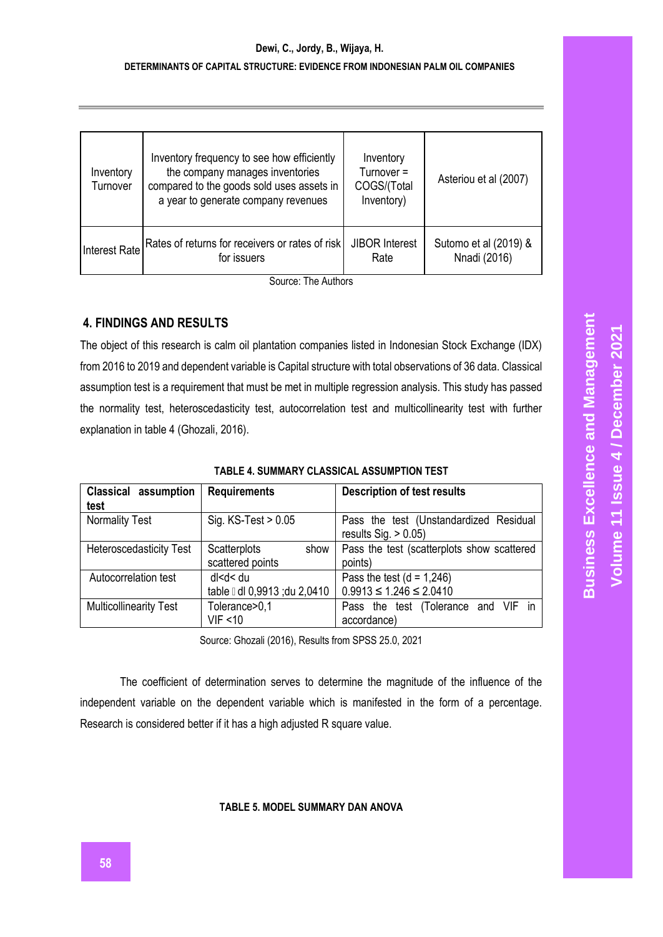# **Dewi, C., Jordy, B., Wijaya, H. DETERMINANTS OF CAPITAL STRUCTURE: EVIDENCE FROM INDONESIAN PALM OIL COMPANIES**

| Inventory<br>Turnover | Inventory frequency to see how efficiently<br>the company manages inventories<br>compared to the goods sold uses assets in<br>a year to generate company revenues | Inventory<br>Turnover $=$<br>COGS/(Total<br>Inventory) | Asteriou et al (2007) |
|-----------------------|-------------------------------------------------------------------------------------------------------------------------------------------------------------------|--------------------------------------------------------|-----------------------|
| Interest Rate         | Rates of returns for receivers or rates of risk                                                                                                                   | <b>JIBOR Interest</b>                                  | Sutomo et al (2019) & |
|                       | for issuers                                                                                                                                                       | Rate                                                   | Nnadi (2016)          |

Source: The Authors

# **4. FINDINGS AND RESULTS**

The object of this research is calm oil plantation companies listed in Indonesian Stock Exchange (IDX) from 2016 to 2019 and dependent variable is Capital structure with total observations of 36 data. Classical assumption test is a requirement that must be met in multiple regression analysis. This study has passed the normality test, heteroscedasticity test, autocorrelation test and multicollinearity test with further explanation in table 4 (Ghozali, 2016).

| <b>Classical assumption</b><br>test | <b>Requirements</b>                                | <b>Description of test results</b>                                |  |  |  |
|-------------------------------------|----------------------------------------------------|-------------------------------------------------------------------|--|--|--|
| <b>Normality Test</b>               | Sig. KS-Test > 0.05                                | Pass the test (Unstandardized Residual<br>results $Sig. > 0.05$ ) |  |  |  |
| <b>Heteroscedasticity Test</b>      | Scatterplots<br>show<br>scattered points           | Pass the test (scatterplots show scattered<br>points)             |  |  |  |
| Autocorrelation test                | dl <d< du<br="">table I dl 0,9913 ; du 2,0410</d<> | Pass the test $(d = 1,246)$<br>$0.9913 \le 1.246 \le 2.0410$      |  |  |  |
| <b>Multicollinearity Test</b>       | Tolerance>0,1<br>VIF < 10                          | Pass the test (Tolerance and VIF in<br>accordance)                |  |  |  |

| TABLE 4. SUMMARY CLASSICAL ASSUMPTION TEST |  |  |
|--------------------------------------------|--|--|
|                                            |  |  |

Source: Ghozali (2016), Results from SPSS 25.0, 2021

The coefficient of determination serves to determine the magnitude of the influence of the independent variable on the dependent variable which is manifested in the form of a percentage. Research is considered better if it has a high adjusted R square value.

**TABLE 5. MODEL SUMMARY DAN ANOVA**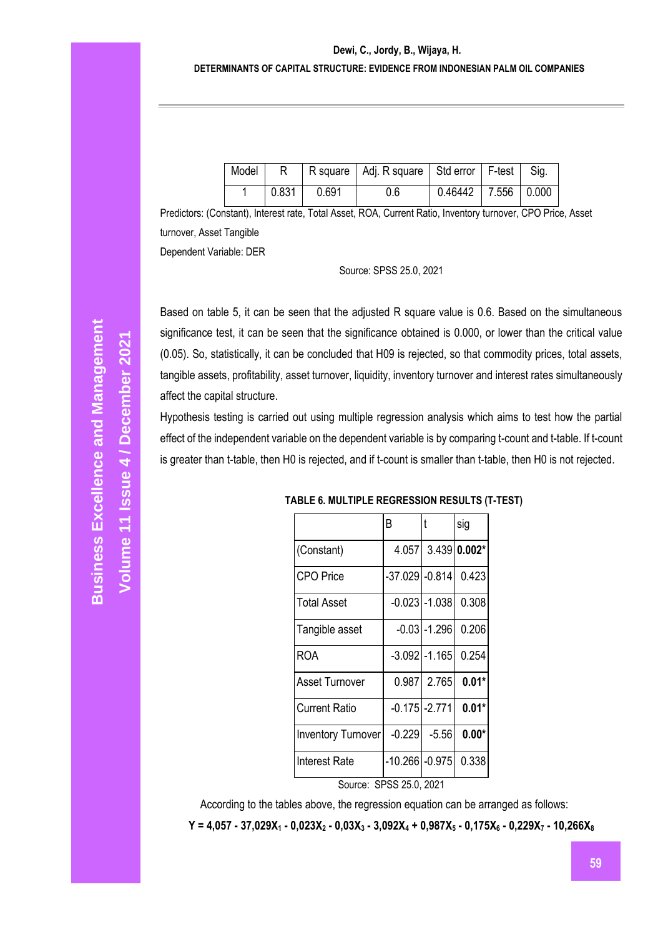#### **Dewi, C., Jordy, B., Wijaya, H.**

#### **DETERMINANTS OF CAPITAL STRUCTURE: EVIDENCE FROM INDONESIAN PALM OIL COMPANIES**

| Model |       |       | R square   Adj. R square   Std error   F-test   Sig. |                           |  |
|-------|-------|-------|------------------------------------------------------|---------------------------|--|
|       | 0.831 | 0.691 | 0.6                                                  | $0.46442$   7.556   0.000 |  |

Predictors: (Constant), Interest rate, Total Asset, ROA, Current Ratio, Inventory turnover, CPO Price, Asset turnover, Asset Tangible Dependent Variable: DER

Source: SPSS 25.0, 2021

Based on table 5, it can be seen that the adjusted R square value is 0.6. Based on the simultaneous significance test, it can be seen that the significance obtained is 0.000, or lower than the critical value (0.05). So, statistically, it can be concluded that H09 is rejected, so that commodity prices, total assets, tangible assets, profitability, asset turnover, liquidity, inventory turnover and interest rates simultaneously affect the capital structure.

Hypothesis testing is carried out using multiple regression analysis which aims to test how the partial effect of the independent variable on the dependent variable is by comparing t-count and t-table. If t-count is greater than t-table, then H0 is rejected, and if t-count is smaller than t-table, then H0 is not rejected.

|                         | B                 | t                  | sig     |  |  |
|-------------------------|-------------------|--------------------|---------|--|--|
| (Constant)              |                   | 4.057 3.439 0.002* |         |  |  |
| <b>CPO</b> Price        | -37.029 -0.814    |                    | 0.423   |  |  |
| <b>Total Asset</b>      |                   | $-0.023$ $-1.038$  | 0.308   |  |  |
| Tangible asset          |                   | -0.031-1.296       | 0.206   |  |  |
| ROA                     |                   | $-3.092$ $-1.165$  | 0.254   |  |  |
| Asset Turnover          |                   | 0.987 2.765        | $0.01*$ |  |  |
| <b>Current Ratio</b>    | $-0.175$ $-2.771$ |                    | $0.01*$ |  |  |
| Inventory Turnover      | $-0.229$          | $-5.56$            | $0.00*$ |  |  |
| Interest Rate           | -10.266 -0.975    |                    | 0.338   |  |  |
| Source: SPSS 25.0, 2021 |                   |                    |         |  |  |

According to the tables above, the regression equation can be arranged as follows:

Y = 4,057 - 37,029X<sub>1</sub> - 0,023X<sub>2</sub> - 0,03X<sub>3</sub> - 3,092X<sub>4</sub> + 0,987X<sub>5</sub> - 0,175X<sub>6</sub> - 0,229X<sub>7</sub> - 10,266X<sub>8</sub>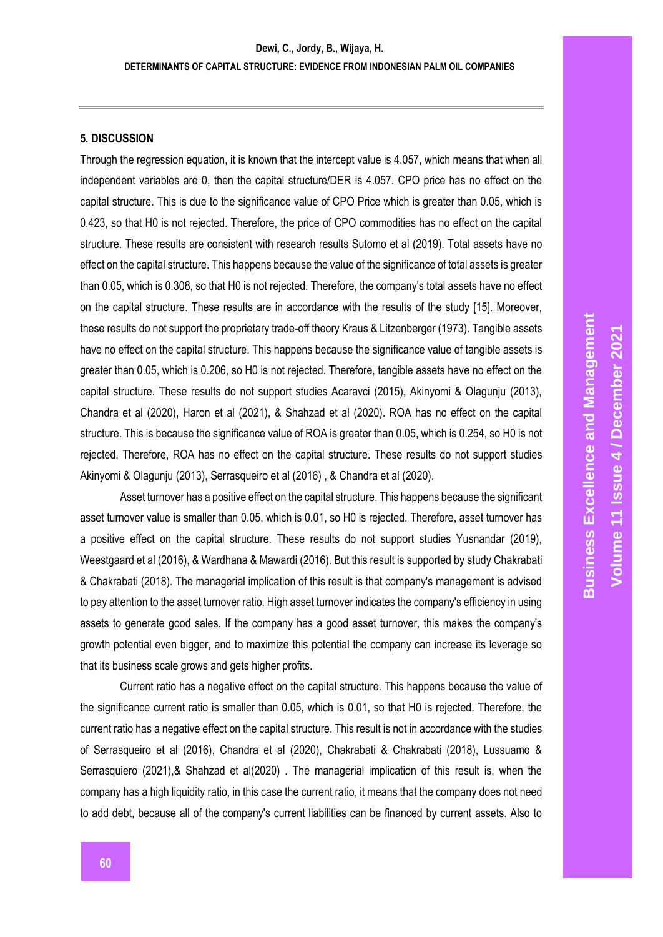#### **5. DISCUSSION**

Through the regression equation, it is known that the intercept value is 4.057, which means that when all independent variables are 0, then the capital structure/DER is 4.057. CPO price has no effect on the capital structure. This is due to the significance value of CPO Price which is greater than 0.05, which is 0.423, so that H0 is not rejected. Therefore, the price of CPO commodities has no effect on the capital structure. These results are consistent with research results Sutomo et al (2019). Total assets have no effect on the capital structure. This happens because the value of the significance of total assets is greater than 0.05, which is 0.308, so that H0 is not rejected. Therefore, the company's total assets have no effect on the capital structure. These results are in accordance with the results of the study [15]. Moreover, these results do not support the proprietary trade-off theory Kraus & Litzenberger (1973). Tangible assets have no effect on the capital structure. This happens because the significance value of tangible assets is greater than 0.05, which is 0.206, so H0 is not rejected. Therefore, tangible assets have no effect on the capital structure. These results do not support studies Acaravci (2015), Akinyomi & Olagunju (2013), Chandra et al (2020), Haron et al (2021), & Shahzad et al (2020). ROA has no effect on the capital structure. This is because the significance value of ROA is greater than 0.05, which is 0.254, so H0 is not rejected. Therefore, ROA has no effect on the capital structure. These results do not support studies Akinyomi & Olagunju (2013), Serrasqueiro et al (2016) , & Chandra et al (2020).

Asset turnover has a positive effect on the capital structure. This happens because the significant asset turnover value is smaller than 0.05, which is 0.01, so H0 is rejected. Therefore, asset turnover has a positive effect on the capital structure. These results do not support studies Yusnandar (2019), Weestgaard et al (2016), & Wardhana & Mawardi (2016). But this result is supported by study Chakrabati & Chakrabati (2018). The managerial implication of this result is that company's management is advised to pay attention to the asset turnover ratio. High asset turnover indicates the company's efficiency in using assets to generate good sales. If the company has a good asset turnover, this makes the company's growth potential even bigger, and to maximize this potential the company can increase its leverage so that its business scale grows and gets higher profits.

Current ratio has a negative effect on the capital structure. This happens because the value of the significance current ratio is smaller than 0.05, which is 0.01, so that H0 is rejected. Therefore, the current ratio has a negative effect on the capital structure. This result is not in accordance with the studies of Serrasqueiro et al (2016), Chandra et al (2020), Chakrabati & Chakrabati (2018), Lussuamo & Serrasquiero (2021),& Shahzad et al(2020) . The managerial implication of this result is, when the company has a high liquidity ratio, in this case the current ratio, it means that the company does not need to add debt, because all of the company's current liabilities can be financed by current assets. Also to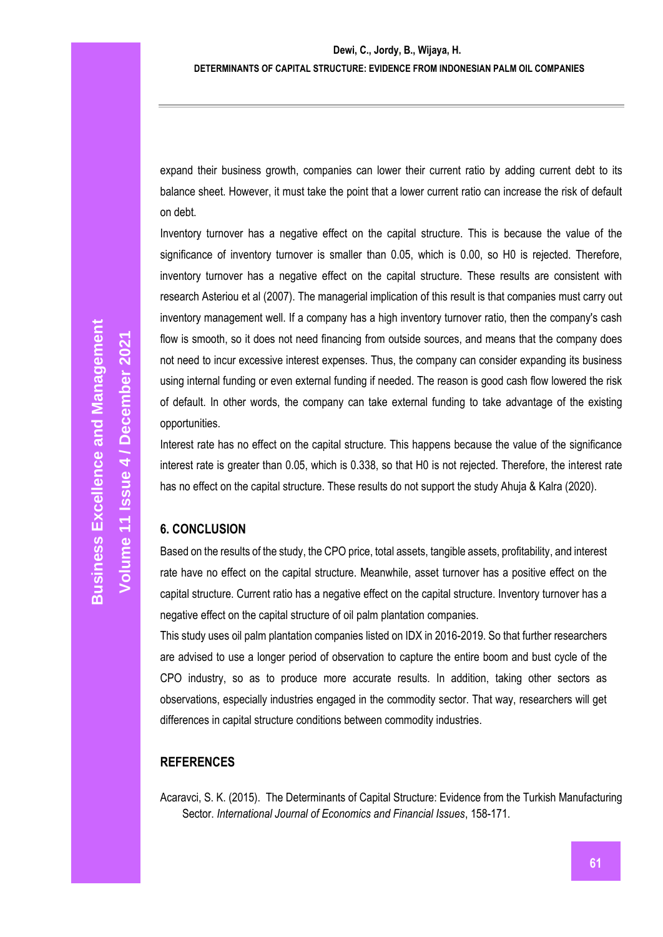expand their business growth, companies can lower their current ratio by adding current debt to its balance sheet. However, it must take the point that a lower current ratio can increase the risk of default on debt.

Inventory turnover has a negative effect on the capital structure. This is because the value of the significance of inventory turnover is smaller than 0.05, which is 0.00, so H0 is rejected. Therefore, inventory turnover has a negative effect on the capital structure. These results are consistent with research Asteriou et al (2007). The managerial implication of this result is that companies must carry out inventory management well. If a company has a high inventory turnover ratio, then the company's cash flow is smooth, so it does not need financing from outside sources, and means that the company does not need to incur excessive interest expenses. Thus, the company can consider expanding its business using internal funding or even external funding if needed. The reason is good cash flow lowered the risk of default. In other words, the company can take external funding to take advantage of the existing opportunities.

Interest rate has no effect on the capital structure. This happens because the value of the significance interest rate is greater than 0.05, which is 0.338, so that H0 is not rejected. Therefore, the interest rate has no effect on the capital structure. These results do not support the study Ahuja & Kalra (2020).

## **6. CONCLUSION**

Based on the results of the study, the CPO price, total assets, tangible assets, profitability, and interest rate have no effect on the capital structure. Meanwhile, asset turnover has a positive effect on the capital structure. Current ratio has a negative effect on the capital structure. Inventory turnover has a negative effect on the capital structure of oil palm plantation companies.

This study uses oil palm plantation companies listed on IDX in 2016-2019. So that further researchers are advised to use a longer period of observation to capture the entire boom and bust cycle of the CPO industry, so as to produce more accurate results. In addition, taking other sectors as observations, especially industries engaged in the commodity sector. That way, researchers will get differences in capital structure conditions between commodity industries.

## **REFERENCES**

Acaravci, S. K. (2015). The Determinants of Capital Structure: Evidence from the Turkish Manufacturing Sector. *International Journal of Economics and Financial Issues*, 158-171.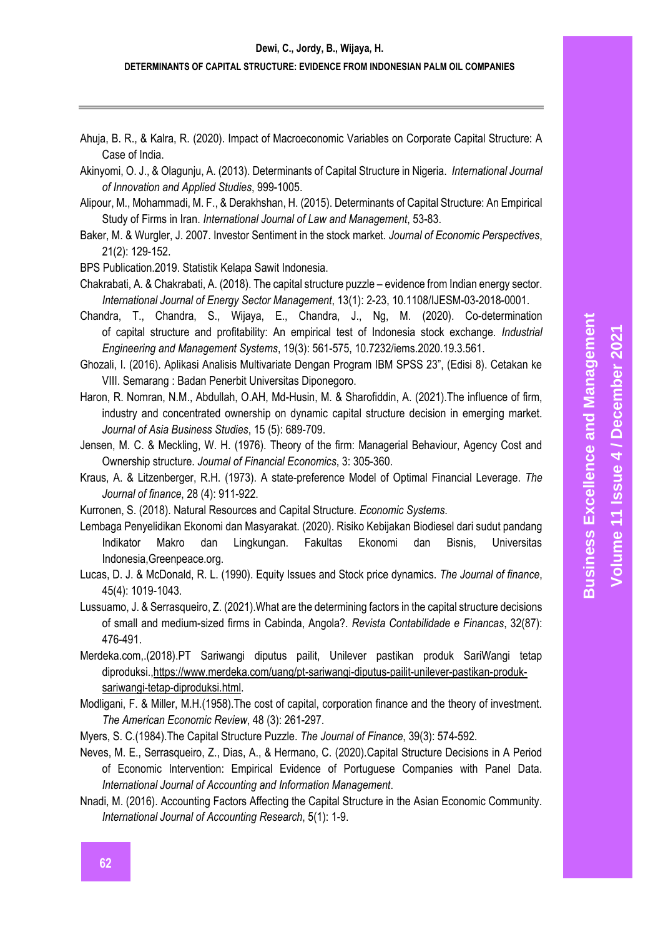#### **DETERMINANTS OF CAPITAL STRUCTURE: EVIDENCE FROM INDONESIAN PALM OIL COMPANIES**

- Ahuja, B. R., & Kalra, R. (2020). Impact of Macroeconomic Variables on Corporate Capital Structure: A Case of India.
- Akinyomi, O. J., & Olagunju, A. (2013). Determinants of Capital Structure in Nigeria. *International Journal of Innovation and Applied Studies*, 999-1005.
- Alipour, M., Mohammadi, M. F., & Derakhshan, H. (2015). Determinants of Capital Structure: An Empirical Study of Firms in Iran. *International Journal of Law and Management*, 53-83.
- Baker, M. & Wurgler, J. 2007. Investor Sentiment in the stock market. *Journal of Economic Perspectives*, 21(2): 129-152.
- BPS Publication.2019. Statistik Kelapa Sawit Indonesia.
- Chakrabati, A. & Chakrabati, A. (2018). The capital structure puzzle evidence from Indian energy sector. *International Journal of Energy Sector Management*, 13(1): 2-23, 10.1108/IJESM-03-2018-0001.
- Chandra, T., Chandra, S., Wijaya, E., Chandra, J., Ng, M. (2020). Co-determination of capital structure and profitability: An empirical test of Indonesia stock exchange. *Industrial Engineering and Management Systems*, 19(3): 561-575, 10.7232/iems.2020.19.3.561.
- Ghozali, I. (2016). Aplikasi Analisis Multivariate Dengan Program IBM SPSS 23", (Edisi 8). Cetakan ke VIII. Semarang : Badan Penerbit Universitas Diponegoro.
- Haron, R. Nomran, N.M., Abdullah, O.AH, Md-Husin, M. & Sharofiddin, A. (2021).The influence of firm, industry and concentrated ownership on dynamic capital structure decision in emerging market. *Journal of Asia Business Studies*, 15 (5): 689-709.
- Jensen, M. C. & Meckling, W. H. (1976). Theory of the firm: Managerial Behaviour, Agency Cost and Ownership structure. *Journal of Financial Economics*, 3: 305-360.
- Kraus, A. & Litzenberger, R.H. (1973). A state-preference Model of Optimal Financial Leverage. *The Journal of finance*, 28 (4): 911-922.
- Kurronen, S. (2018). Natural Resources and Capital Structure. *Economic Systems*.
- Lembaga Penyelidikan Ekonomi dan Masyarakat. (2020). Risiko Kebijakan Biodiesel dari sudut pandang Indikator Makro dan Lingkungan. Fakultas Ekonomi dan Bisnis, Universitas Indonesia,Greenpeace.org.
- Lucas, D. J. & McDonald, R. L. (1990). Equity Issues and Stock price dynamics. *The Journal of finance*, 45(4): 1019-1043.
- Lussuamo, J. & Serrasqueiro, Z. (2021).What are the determining factors in the capital structure decisions of small and medium-sized firms in Cabinda, Angola?. *Revista Contabilidade e Financas*, 32(87): 476-491.
- Merdeka.com,.(2018).PT Sariwangi diputus pailit, Unilever pastikan produk SariWangi tetap diproduksi.[,https://www.merdeka.com/uang/pt-sariwangi-diputus-pailit-unilever-pastikan-produk](https://www.merdeka.com/uang/pt-sariwangi-diputus-pailit-unilever-pastikan-produk-sariwangi-tetap-diproduksi.html)[sariwangi-tetap-diproduksi.html.](https://www.merdeka.com/uang/pt-sariwangi-diputus-pailit-unilever-pastikan-produk-sariwangi-tetap-diproduksi.html)
- Modligani, F. & Miller, M.H.(1958).The cost of capital, corporation finance and the theory of investment. *The American Economic Review*, 48 (3): 261-297.

Myers, S. C.(1984).The Capital Structure Puzzle. *The Journal of Finance*, 39(3): 574-592.

- Neves, M. E., Serrasqueiro, Z., Dias, A., & Hermano, C. (2020).Capital Structure Decisions in A Period of Economic Intervention: Empirical Evidence of Portuguese Companies with Panel Data. *International Journal of Accounting and Information Management*.
- Nnadi, M. (2016). Accounting Factors Affecting the Capital Structure in the Asian Economic Community. *International Journal of Accounting Research*, 5(1): 1-9.